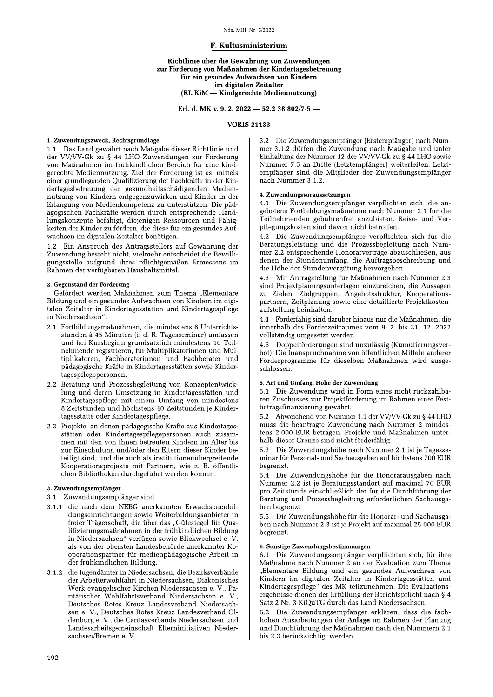#### Nds. MBl. Nr. 5/2022

# F. Kultusministerium

## Richtlinie über die Gewährung von Zuwendungen zur Förderung von Maßnahmen der Kindertagesbetreuung für ein gesundes Aufwachsen von Kindern im digitalen Zeitalter (RL KiM - Kindgerechte Mediennutzung)

Erl. d. MK v. 9. 2. 2022 - 52.2 38 802/7-5 -

## $-$  VORIS 21133  $-$

## 1. Zuwendungszweck, Rechtsgrundlage

1.1 Das Land gewährt nach Maßgabe dieser Richtlinie und der VV/VV-Gk zu § 44 LHO Zuwendungen zur Förderung von Maßnahmen im frühkindlichen Bereich für eine kindgerechte Mediennutzung. Ziel der Förderung ist es, mittels einer grundlegenden Qualifizierung der Fachkräfte in der Kindertagesbetreuung der gesundheitsschädigenden Mediennutzung von Kindern entgegenzuwirken und Kinder in der Erlangung von Medienkompetenz zu unterstützen. Die pädagogischen Fachkräfte werden durch entsprechende Handlungskonzepte befähigt, diejenigen Ressourcen und Fähigkeiten der Kinder zu fördern, die diese für ein gesundes Aufwachsen im digitalen Zeitalter benötigen.

1.2 Ein Anspruch des Antragsstellers auf Gewährung der Zuwendung besteht nicht, vielmehr entscheidet die Bewilligungsstelle aufgrund ihres pflichtgemäßen Ermessens im Rahmen der verfügbaren Haushaltsmittel.

### 2. Gegenstand der Förderung

Gefördert werden Maßnahmen zum Thema "Elementare Bildung und ein gesundes Aufwachsen von Kindern im digitalen Zeitalter in Kindertagesstätten und Kindertagespflege in Niedersachsen":

- 2.1 Fortbildungsmaßnahmen, die mindestens 6 Unterrichtsstunden à 45 Minuten (i. d. R. Tagesseminar) umfassen und bei Kursbeginn grundsätzlich mindestens 10 Teilnehmende registrieren, für Multiplikatorinnen und Multiplikatoren, Fachberaterinnen und Fachberater und pädagogische Kräfte in Kindertagesstätten sowie Kindertagespflegepersonen.
- 2.2 Beratung und Prozessbegleitung von Konzeptentwicklung und deren Umsetzung in Kindertagesstätten und Kindertagespflege mit einem Umfang von mindestens 8 Zeitstunden und höchstens 40 Zeitstunden je Kindertagesstätte oder Kindertagespflege.
- 2.3 Projekte, an denen pädagogische Kräfte aus Kindertagesstätten oder Kindertagespflegepersonen auch zusammen mit den von Ihnen betreuten Kindern im Alter bis zur Einschulung und/oder den Eltern dieser Kinder beteiligt sind, und die auch als institutionenübergreifende Kooperationsprojekte mit Partnern, wie z. B. öffentlichen Bibliotheken durchgeführt werden können.

## 3. Zuwendungsempfänger

- 3.1 Zuwendungsempfänger sind
- die nach dem NEBG anerkannten Erwachsenenbil- $311$ dungseinrichtungen sowie Weiterbildungsanbieter in freier Trägerschaft, die über das "Gütesiegel für Qualifizierungsmaßnahmen in der frühkindlichen Bildung in Niedersachsen" verfügen sowie Blickwechsel e. V. als von der obersten Landesbehörde anerkannter Kooperationspartner für medienpädagogische Arbeit in der frühkindlichen Bildung,
- 3.1.2 die Jugendämter in Niedersachsen, die Bezirksverbände der Arbeiterwohlfahrt in Niedersachsen, Diakonisches Werk evangelischer Kirchen Niedersachsen e. V., Paritätischer Wohlfahrtsverband Niedersachsen e. V., Deutsches Rotes Kreuz Landesverband Niedersachsen e. V., Deutsches Rotes Kreuz Landesverband Oldenburg e. V., die Caritasverbände Niedersachsen und Landesarbeitsgemeinschaft Elterninitiativen Nieder $sachsen/Bremen$ e. V.

3.2 Die Zuwendungsempfänger (Erstempfänger) nach Nummer 3.1.2 dürfen die Zuwendung nach Maßgabe und unter Einhaltung der Nummer 12 der VV/VV-Gk zu § 44 LHO sowie Nummer 7.5 an Dritte (Letztempfänger) weiterleiten. Letztempfänger sind die Mitglieder der Zuwendungsempfänger nach Nummer 3.1.2.

#### 4. Zuwendungsvoraussetzungen

4.1 Die Zuwendungsempfänger verpflichten sich, die angebotene Fortbildungsmaßnahme nach Nummer 2.1 für die .<br>Teilnehmenden gebührenfrei anzubieten. Reise- und Verpflegungskosten sind davon nicht betroffen.

4.2 Die Zuwendungsempfänger verpflichten sich für die Beratungsleistung und die Prozessbegleitung nach Nummer 2.2 entsprechende Honorarverträge abzuschließen, aus denen der Stundenumfang, die Auftragsbeschreibung und die Höhe der Stundenvergütung hervorgehen.

Mit Antragstellung für Maßnahmen nach Nummer 2.3 43 sind Projektplanungsunterlagen einzureichen, die Aussagen zu Zielen, Zielgruppen, Angebotsstruktur, Kooperationspartnern, Zeitplanung sowie eine detaillierte Projektkostenaufstellung beinhalten.

4.4 Förderfähig sind darüber hinaus nur die Maßnahmen, die innerhalb des Förderzeitraumes vom 9. 2. bis 31. 12. 2022 vollständig umgesetzt werden.

4.5 Doppelförderungen sind unzulässig (Kumulierungsverbot). Die Inanspruchnahme von öffentlichen Mitteln anderer Förderprogramme für dieselben Maßnahmen wird ausgeschlossen.

#### 5. Art und Umfang, Höhe der Zuwendung

5.1 Die Zuwendung wird in Form eines nicht rückzahlbaren Zuschusses zur Projektförderung im Rahmen einer Festbetragsfinanzierung gewährt.

5.2 Abweichend von Nummer 1.1 der VV/VV-Gk zu § 44 LHO muss die beantragte Zuwendung nach Nummer 2 mindestens 2 000 EUR betragen. Projekte und Maßnahmen unterhalb dieser Grenze sind nicht förderfähig.

5.3 Die Zuwendungshöhe nach Nummer 2.1 ist je Tagesseminar für Personal- und Sachausgaben auf höchstens 700 EUR begrenzt.

5.4 Die Zuwendungshöhe für die Honorarausgaben nach Nummer 2.2 ist je Beratungsstandort auf maximal 70 EUR pro Zeitstunde einschließlich der für die Durchführung der Beratung und Prozessbegleitung erforderlichen Sachausgaben begrenzt.

5.5 Die Zuwendungshöhe für die Honorar- und Sachausgaben nach Nummer 2.3 ist je Projekt auf maximal 25 000 EUR begrenzt.

### 6. Sonstige Zuwendungsbestimmungen

6.1 Die Zuwendungsempfänger verpflichten sich, für ihre Maßnahme nach Nummer 2 an der Evaluation zum Thema "Elementare Bildung und ein gesundes Aufwachsen von Kindern im digitalen Zeitalter in Kindertagesstätten und Kindertagespflege" des MK teilzunehmen. Die Evaluationsergebnisse dienen der Erfüllung der Berichtspflicht nach § 4 Satz 2 Nr. 3 KiQuTG durch das Land Niedersachsen.

6.2 Die Zuwendungsempfänger erklären, dass die fachlichen Ausarbeitungen der Anlage im Rahmen der Planung und Durchführung der Maßnahmen nach den Nummern 2.1 bis 2.3 berücksichtigt werden.